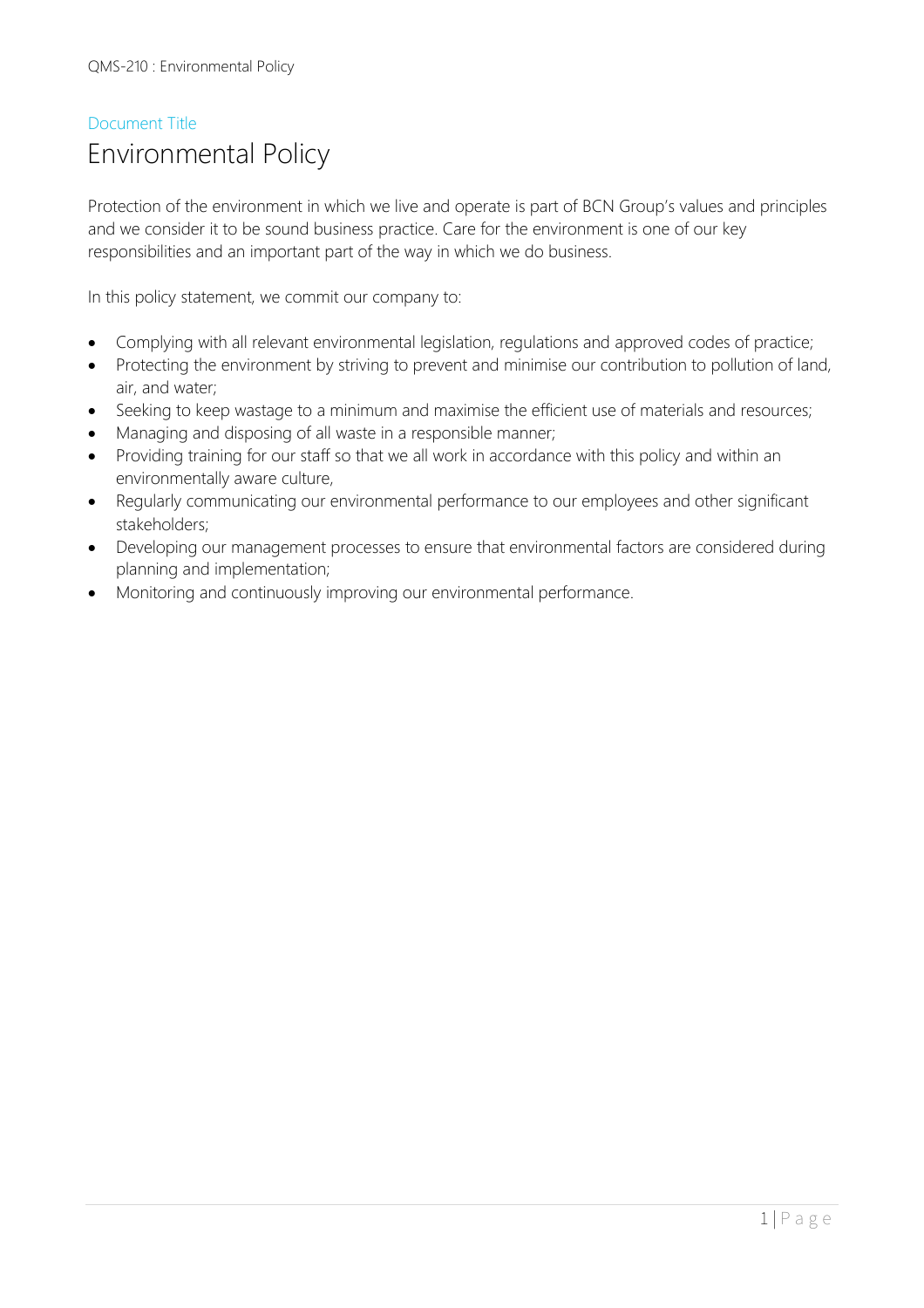# Document Title Environmental Policy

Protection of the environment in which we live and operate is part of BCN Group's values and principles and we consider it to be sound business practice. Care for the environment is one of our key responsibilities and an important part of the way in which we do business.

In this policy statement, we commit our company to:

- Complying with all relevant environmental legislation, regulations and approved codes of practice;
- Protecting the environment by striving to prevent and minimise our contribution to pollution of land, air, and water;
- Seeking to keep wastage to a minimum and maximise the efficient use of materials and resources;
- Managing and disposing of all waste in a responsible manner;
- Providing training for our staff so that we all work in accordance with this policy and within an environmentally aware culture,
- Regularly communicating our environmental performance to our employees and other significant stakeholders;
- Developing our management processes to ensure that environmental factors are considered during planning and implementation;
- Monitoring and continuously improving our environmental performance.